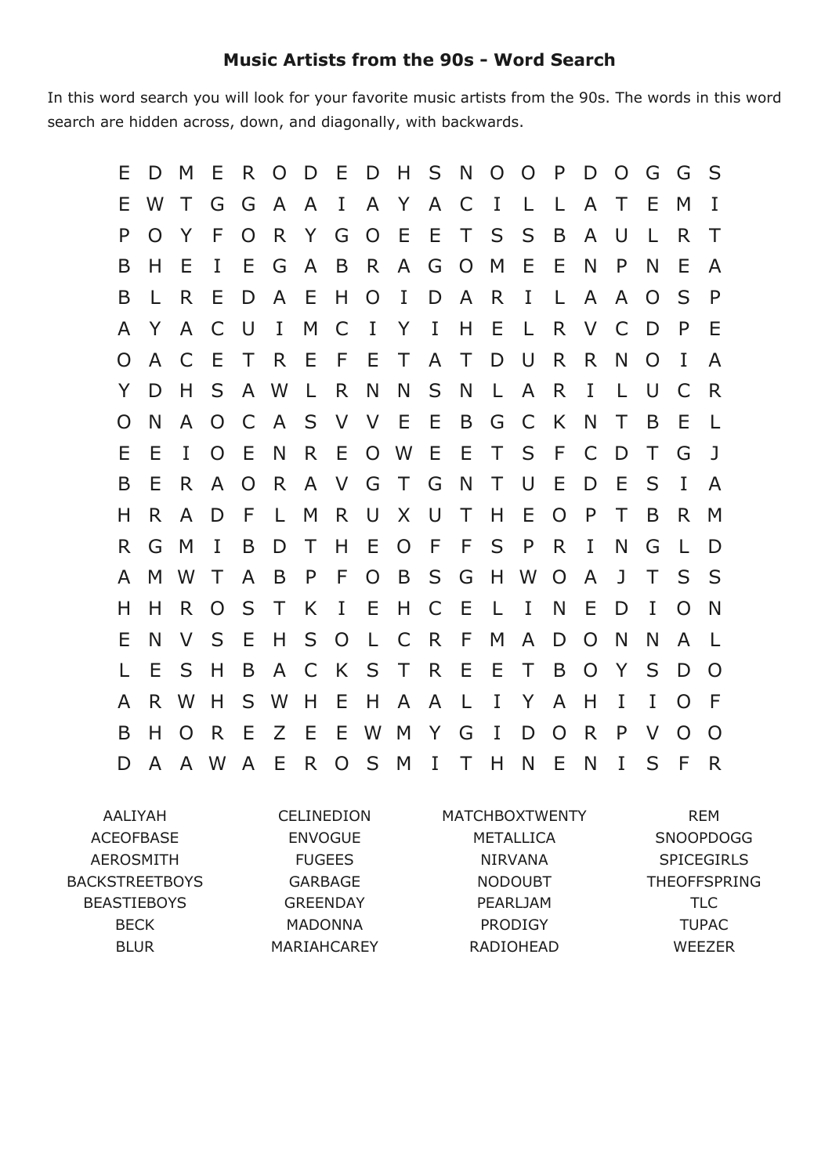## **Music Artists from the 90s Word Search**

In this word search you will look for your favorite music artists from the 90s. The words in this word search are hidden across, down, and diagonally, with backwards.

| Ε | D                                                                        | M | E | R | O | D            | Ε | D              | Н | S                                         | N | O | O | P | D              | O            | G                            | G        | S              |  |  |
|---|--------------------------------------------------------------------------|---|---|---|---|--------------|---|----------------|---|-------------------------------------------|---|---|---|---|----------------|--------------|------------------------------|----------|----------------|--|--|
| E | W                                                                        | Τ | G | G | A | A            | Ι | A              | Y | A                                         | C | Ι |   |   | A              | Τ            | E                            | M        | I              |  |  |
| P | $\Omega$                                                                 | Y | F | O | R | Y            | G | O              | Е | E                                         | Τ | S | S | B | A              | U            |                              | R        | Τ              |  |  |
| Β | н                                                                        | Ε | I | Е | G | A            | B | $\mathsf{R}$   | A | G                                         | O | M | E | E | N              | P            | N                            | E        | A              |  |  |
| B |                                                                          | R | E | D | A | Ε            | Η | O              | I | D                                         | A | R | I | L | A              | A            | O                            | S        | $\mathsf{P}$   |  |  |
| A | Y                                                                        | A | C | U | I | M            | C | Ι              | Y | I                                         | н | E | L | R | V              | C            | D                            | P        | Ε              |  |  |
| O | A                                                                        | C | Ε | Τ | R | Ε            | F | E              | Τ | A                                         | Τ | D | U | R | R              | N            | O                            | I        | A              |  |  |
| Y | D                                                                        | н | S | A | W | L            | R | N              | N | S                                         | N | L | A | R | I              |              | U                            | C        | R              |  |  |
| O | N                                                                        | A | O | C | A | S            | V | V              | E | Ε                                         | B | G | C | K | N              | Τ            | B                            | Е        | L              |  |  |
| E | Е                                                                        | I | O | Е | N | R            | Ε | O              | W | Ε                                         | E | Τ | S | F | С              | D            | Τ                            | G        | J              |  |  |
| B | Ε                                                                        | R | A | O | R | A            | V | G              | Τ | G                                         | N | Τ | U | E | D              | Ε            | S                            | Ι        | A              |  |  |
| H | R                                                                        | A | D | F | L | M            | R | U              | X | U                                         | Τ | H | Ε | O | P              | Τ            | B                            | R        | M              |  |  |
| R | G                                                                        | M | I | B | D | Τ            | Н | E              | O | F                                         | F | S | P | R | Ι              | N            | G                            | L        | D              |  |  |
| A | M                                                                        | W | Τ | A | B | P            | F | $\overline{O}$ | B | S                                         | G | Н | W | O | A              | $\mathbf{J}$ | Τ                            | S        | S              |  |  |
| Η | н                                                                        | R | O | S | Τ | K            | I | E              | H | C                                         | E | L | Ι | N | E              | D            | I                            | $\Omega$ | N              |  |  |
| Ε | N                                                                        | V | S | Е | H | S            | O | L              | C | R                                         | F | M | A | D | O              | N            | N                            | A        | L              |  |  |
| L | Е                                                                        | S | Н | B | A | C            | K | S              | Τ | R                                         | E | E | Τ | B | $\overline{O}$ | Y            | S                            | D        | O              |  |  |
| A | R                                                                        | W | Н | S | W | Н            | Е | Н              | A | A                                         | L | I | Y | A | Н              | I            | I                            | $\Omega$ | F              |  |  |
| B | н                                                                        | O | R | Е | Ζ | E            | Ε | W              | M | Y                                         | G | Ι | D | O | R              | P            | V                            | O        | $\overline{O}$ |  |  |
| D | A                                                                        | A | W | A | E | $\mathsf{R}$ | O | S              | M | I                                         | Τ | Н | N | E | N              | Ι            | S                            | F        | $\mathsf{R}$   |  |  |
|   | <b>AALIYAH</b><br><b>CELINEDION</b><br><b>CEOFBASE</b><br><b>ENVOGUE</b> |   |   |   |   |              |   |                |   | <b>MATCHBOXTWENTY</b><br><b>METALLICA</b> |   |   |   |   |                |              | <b>REM</b><br><b>SNOOPDO</b> |          |                |  |  |

AC AEROSMITH **BACKSTREETBOYS** BEASTIEBOYS BECK BLUR

ENVOGUE FUGEES GARBAGE GREENDAY MADONNA MARIAHCAREY

METALLICA NIRVANA NODOUBT PEARLJAM PRODIGY RADIOHEAD

 $\overline{\mathsf{G}}$ SPICEGIRLS THEOFFSPRING TLC TUPAC WEEZER